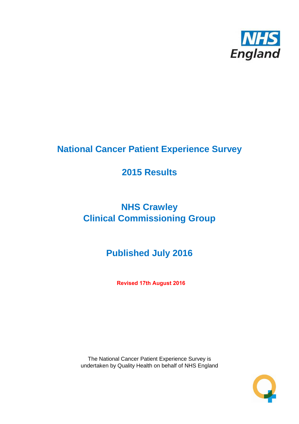

# **National Cancer Patient Experience Survey**

# **2015 Results**

# **NHS Crawley Clinical Commissioning Group**

# **Published July 2016**

**Revised 17th August 2016**

The National Cancer Patient Experience Survey is undertaken by Quality Health on behalf of NHS England

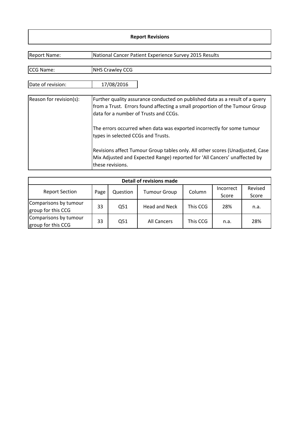#### **Report Revisions**

| <b>Report Name:</b>     | National Cancer Patient Experience Survey 2015 Results                                                                                                                                               |
|-------------------------|------------------------------------------------------------------------------------------------------------------------------------------------------------------------------------------------------|
|                         |                                                                                                                                                                                                      |
| CCG Name:               | <b>NHS Crawley CCG</b>                                                                                                                                                                               |
| Date of revision:       | 17/08/2016                                                                                                                                                                                           |
| Reason for revision(s): | Further quality assurance conducted on published data as a result of a query<br>from a Trust. Errors found affecting a small proportion of the Tumour Group<br>data for a number of Trusts and CCGs. |
|                         | The errors occurred when data was exported incorrectly for some tumour<br>types in selected CCGs and Trusts.                                                                                         |
|                         | Revisions affect Tumour Group tables only. All other scores (Unadjusted, Case<br>Mix Adjusted and Expected Range) reported for 'All Cancers' unaffected by<br>these revisions.                       |

| Detail of revisions made |      |          |                      |          |              |         |  |  |  |  |
|--------------------------|------|----------|----------------------|----------|--------------|---------|--|--|--|--|
| <b>Report Section</b>    |      |          |                      |          | Incorrect    | Revised |  |  |  |  |
|                          | Page | Question | <b>Tumour Group</b>  | Column   | <b>Score</b> | Score   |  |  |  |  |
| Comparisons by tumour    | 33   | Q51      | <b>Head and Neck</b> | This CCG | 28%          |         |  |  |  |  |
| group for this CCG       |      |          |                      |          |              | n.a.    |  |  |  |  |
| Comparisons by tumour    | 33   | Q51      | <b>All Cancers</b>   | This CCG |              | 28%     |  |  |  |  |
| group for this CCG       |      |          |                      |          | n.a.         |         |  |  |  |  |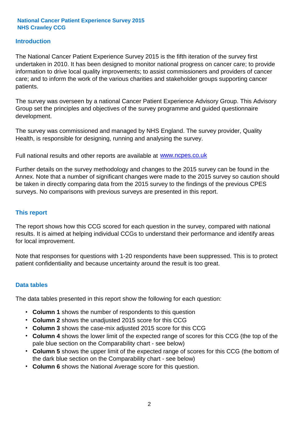### **Introduction**

The National Cancer Patient Experience Survey 2015 is the fifth iteration of the survey first undertaken in 2010. It has been designed to monitor national progress on cancer care; to provide information to drive local quality improvements; to assist commissioners and providers of cancer care; and to inform the work of the various charities and stakeholder groups supporting cancer patients.

The survey was overseen by a national Cancer Patient Experience Advisory Group. This Advisory Group set the principles and objectives of the survey programme and guided questionnaire development.

The survey was commissioned and managed by NHS England. The survey provider, Quality Health, is responsible for designing, running and analysing the survey.

Full national results and other reports are available at www.ncpes.co.uk

Further details on the survey methodology and changes to the 2015 survey can be found in the Annex. Note that a number of significant changes were made to the 2015 survey so caution should be taken in directly comparing data from the 2015 survey to the findings of the previous CPES surveys. No comparisons with previous surveys are presented in this report.

#### **This report**

The report shows how this CCG scored for each question in the survey, compared with national results. It is aimed at helping individual CCGs to understand their performance and identify areas for local improvement.

Note that responses for questions with 1-20 respondents have been suppressed. This is to protect patient confidentiality and because uncertainty around the result is too great.

#### **Data tables**

The data tables presented in this report show the following for each question:

- **Column 1** shows the number of respondents to this question
- **Column 2** shows the unadjusted 2015 score for this CCG
- **Column 3** shows the case-mix adjusted 2015 score for this CCG
- **Column 4** shows the lower limit of the expected range of scores for this CCG (the top of the pale blue section on the Comparability chart - see below)
- **Column 5** shows the upper limit of the expected range of scores for this CCG (the bottom of the dark blue section on the Comparability chart - see below)
- **Column 6** shows the National Average score for this question.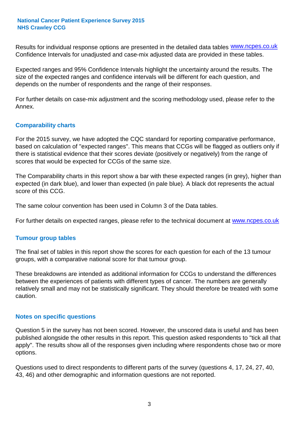Results for individual response options are presented in the detailed data tables **WWW.ncpes.co.uk** Confidence Intervals for unadjusted and case-mix adjusted data are provided in these tables.

Expected ranges and 95% Confidence Intervals highlight the uncertainty around the results. The size of the expected ranges and confidence intervals will be different for each question, and depends on the number of respondents and the range of their responses.

For further details on case-mix adjustment and the scoring methodology used, please refer to the Annex.

#### **Comparability charts**

For the 2015 survey, we have adopted the CQC standard for reporting comparative performance, based on calculation of "expected ranges". This means that CCGs will be flagged as outliers only if there is statistical evidence that their scores deviate (positively or negatively) from the range of scores that would be expected for CCGs of the same size.

The Comparability charts in this report show a bar with these expected ranges (in grey), higher than expected (in dark blue), and lower than expected (in pale blue). A black dot represents the actual score of this CCG.

The same colour convention has been used in Column 3 of the Data tables.

For further details on expected ranges, please refer to the technical document at **www.ncpes.co.uk** 

#### **Tumour group tables**

The final set of tables in this report show the scores for each question for each of the 13 tumour groups, with a comparative national score for that tumour group.

These breakdowns are intended as additional information for CCGs to understand the differences between the experiences of patients with different types of cancer. The numbers are generally relatively small and may not be statistically significant. They should therefore be treated with some caution.

#### **Notes on specific questions**

Question 5 in the survey has not been scored. However, the unscored data is useful and has been published alongside the other results in this report. This question asked respondents to "tick all that apply". The results show all of the responses given including where respondents chose two or more options.

Questions used to direct respondents to different parts of the survey (questions 4, 17, 24, 27, 40, 43, 46) and other demographic and information questions are not reported.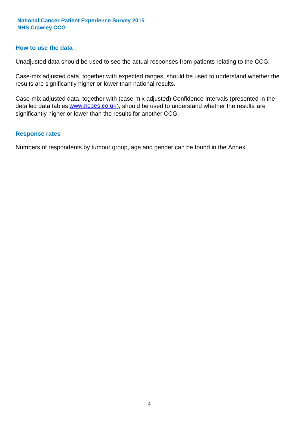#### **How to use the data**

Unadjusted data should be used to see the actual responses from patients relating to the CCG.

Case-mix adjusted data, together with expected ranges, should be used to understand whether the results are significantly higher or lower than national results.

Case-mix adjusted data, together with (case-mix adjusted) Confidence Intervals (presented in the detailed data tables **www.ncpes.co.uk**), should be used to understand whether the results are significantly higher or lower than the results for another CCG.

#### **Response rates**

Numbers of respondents by tumour group, age and gender can be found in the Annex.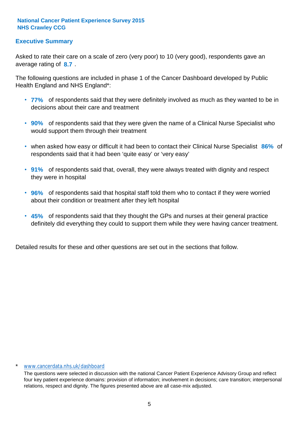## **Executive Summary**

average rating of 8.7. Asked to rate their care on a scale of zero (very poor) to 10 (very good), respondents gave an

The following questions are included in phase 1 of the Cancer Dashboard developed by Public Health England and NHS England\*:

- **77%** of respondents said that they were definitely involved as much as they wanted to be in decisions about their care and treatment
- **90%** of respondents said that they were given the name of a Clinical Nurse Specialist who would support them through their treatment
- when asked how easy or difficult it had been to contact their Clinical Nurse Specialist 86% of respondents said that it had been 'quite easy' or 'very easy'
- **91%** of respondents said that, overall, they were always treated with dignity and respect they were in hospital
- **96%** of respondents said that hospital staff told them who to contact if they were worried about their condition or treatment after they left hospital
- **45%** of respondents said that they thought the GPs and nurses at their general practice definitely did everything they could to support them while they were having cancer treatment.

Detailed results for these and other questions are set out in the sections that follow.

#### \* www.cancerdata.nhs.uk/dashboard

The questions were selected in discussion with the national Cancer Patient Experience Advisory Group and reflect four key patient experience domains: provision of information; involvement in decisions; care transition; interpersonal relations, respect and dignity. The figures presented above are all case-mix adjusted.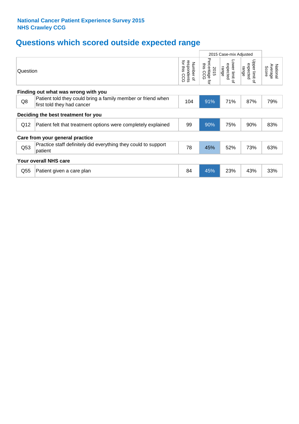# **Questions which scored outside expected range**

|     |                                                                                            |     | 2015 Case-mix Adjusted              |                                     |                                     |                              |  |  |  |  |  |
|-----|--------------------------------------------------------------------------------------------|-----|-------------------------------------|-------------------------------------|-------------------------------------|------------------------------|--|--|--|--|--|
|     | Question                                                                                   |     | Percentage<br>this CCG<br>2015<br>ą | Lower limit of<br>expected<br>range | Upper limit of<br>expected<br>range | Average<br>National<br>Score |  |  |  |  |  |
|     | Finding out what was wrong with you                                                        |     |                                     |                                     |                                     |                              |  |  |  |  |  |
| Q8  | Patient told they could bring a family member or friend when<br>first told they had cancer | 104 | 91%                                 | 71%                                 | 87%                                 | 79%                          |  |  |  |  |  |
|     | Deciding the best treatment for you                                                        |     |                                     |                                     |                                     |                              |  |  |  |  |  |
| Q12 | Patient felt that treatment options were completely explained                              | 99  | 90%                                 | 75%                                 | 90%                                 | 83%                          |  |  |  |  |  |
|     | Care from your general practice                                                            |     |                                     |                                     |                                     |                              |  |  |  |  |  |
| Q53 | Practice staff definitely did everything they could to support<br>patient                  | 78  | 45%                                 | 52%                                 | 73%                                 | 63%                          |  |  |  |  |  |
|     | Your overall NHS care                                                                      |     |                                     |                                     |                                     |                              |  |  |  |  |  |
| Q55 | Patient given a care plan                                                                  | 84  | 45%                                 | 23%                                 | 43%                                 | 33%                          |  |  |  |  |  |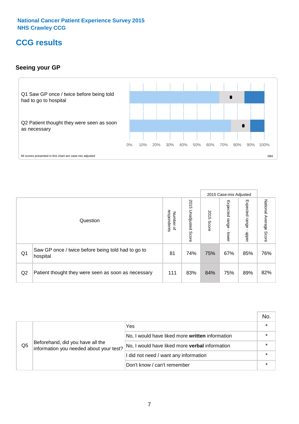# **CCG results**

## **Seeing your GP**



|                |                                                                |                                              |                       |               | 2015 Case-mix Adjusted     |                            |                        |
|----------------|----------------------------------------------------------------|----------------------------------------------|-----------------------|---------------|----------------------------|----------------------------|------------------------|
|                | Question                                                       | respondents<br>Number<br>$\overline{\sigma}$ | 2015 Unadjusted Score | 2015<br>Score | Expected<br>range<br>lower | Expected<br>range<br>nbber | National Average Score |
| Q <sub>1</sub> | Saw GP once / twice before being told had to go to<br>hospital | 81                                           | 74%                   | 75%           | 67%                        | 85%                        | 76%                    |
| Q2             | Patient thought they were seen as soon as necessary            | 111                                          | 83%                   | 84%           | 75%                        | 89%                        | 82%                    |

|    |                                                                             |                                                 | No.     |
|----|-----------------------------------------------------------------------------|-------------------------------------------------|---------|
|    |                                                                             | Yes                                             | $\star$ |
| Q5 | Beforehand, did you have all the<br>information you needed about your test? | No, I would have liked more written information | $\star$ |
|    |                                                                             | No, I would have liked more verbal information  | $\star$ |
|    |                                                                             | I did not need / want any information           | $\star$ |
|    |                                                                             | Don't know / can't remember                     | $\star$ |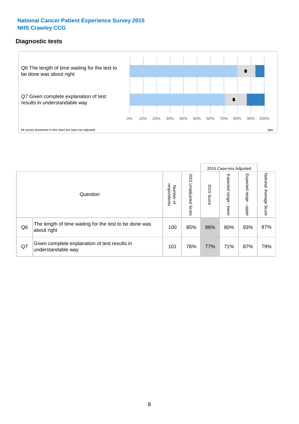### **Diagnostic tests**



|                |                                                                       |                                       |                             |               | 2015 Case-mix Adjusted  |                         |                           |
|----------------|-----------------------------------------------------------------------|---------------------------------------|-----------------------------|---------------|-------------------------|-------------------------|---------------------------|
|                | Question                                                              | respondents<br>Number<br>$\mathbf{Q}$ | 2015<br>Unadjusted<br>Score | 2015<br>Score | Expected range<br>lower | Expected range<br>nbber | National Average<br>Score |
| Q <sub>6</sub> | The length of time waiting for the test to be done was<br>about right | 100                                   | 85%                         | 86%           | 80%                     | 93%                     | 87%                       |
| Q7             | Given complete explanation of test results in<br>understandable way   | 101                                   | 76%                         | 77%           | 71%                     | 87%                     | 79%                       |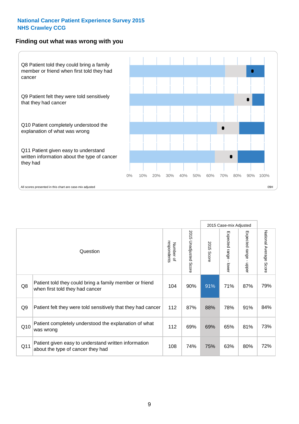#### **Finding out what was wrong with you**



|                |                                                                                            |                          |                       |               | 2015 Case-mix Adjusted                  |                           |                        |
|----------------|--------------------------------------------------------------------------------------------|--------------------------|-----------------------|---------------|-----------------------------------------|---------------------------|------------------------|
|                | Question                                                                                   | respondents<br>Number of | 2015 Unadjusted Score | 2015<br>Score | Expected range<br>$\mathbf{L}$<br>lower | Expected range -<br>nbber | National Average Score |
| Q8             | Patient told they could bring a family member or friend<br>when first told they had cancer | 104                      | 90%                   | 91%           | 71%                                     | 87%                       | 79%                    |
| Q <sub>9</sub> | Patient felt they were told sensitively that they had cancer                               | 112                      | 87%                   | 88%           | 78%                                     | 91%                       | 84%                    |
| Q10            | Patient completely understood the explanation of what<br>was wrong                         | 112                      | 69%                   | 69%           | 65%                                     | 81%                       | 73%                    |
| Q11            | Patient given easy to understand written information<br>about the type of cancer they had  | 108                      | 74%                   | 75%           | 63%                                     | 80%                       | 72%                    |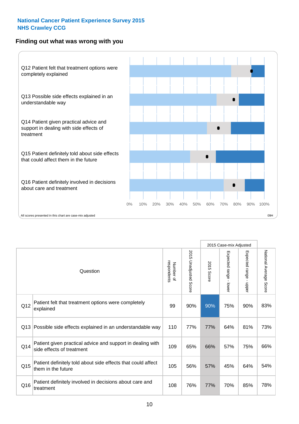### **Finding out what was wrong with you**



|          |                                                                                         |                          |                       |               | 2015 Case-mix Adjusted                    |                           |                        |  |  |
|----------|-----------------------------------------------------------------------------------------|--------------------------|-----------------------|---------------|-------------------------------------------|---------------------------|------------------------|--|--|
| Question |                                                                                         | respondents<br>Number of | 2015 Unadjusted Score | 2015<br>Score | Expected range<br>$\blacksquare$<br>lower | Expected range -<br>nbber | National Average Score |  |  |
| Q12      | Patient felt that treatment options were completely<br>explained                        | 99                       | 90%                   | 90%           | 75%                                       | 90%                       | 83%                    |  |  |
| Q13      | Possible side effects explained in an understandable way                                | 110                      | 77%                   | 77%           | 64%                                       | 81%                       | 73%                    |  |  |
| Q14      | Patient given practical advice and support in dealing with<br>side effects of treatment | 109                      | 65%                   | 66%           | 57%                                       | 75%                       | 66%                    |  |  |
| Q15      | Patient definitely told about side effects that could affect<br>them in the future      | 105                      | 56%                   | 57%           | 45%                                       | 64%                       | 54%                    |  |  |
| Q16      | Patient definitely involved in decisions about care and<br>treatment                    | 108                      | 76%                   | 77%           | 70%                                       | 85%                       | 78%                    |  |  |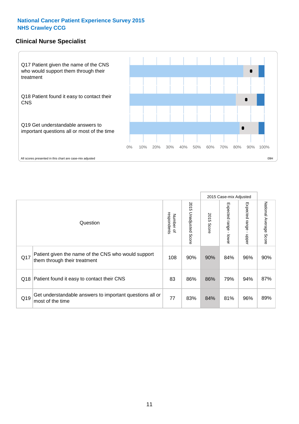### **Clinical Nurse Specialist**



|     |                                                                                     |                          |                       |               | 2015 Case-mix Adjusted  |                         |                        |
|-----|-------------------------------------------------------------------------------------|--------------------------|-----------------------|---------------|-------------------------|-------------------------|------------------------|
|     | Question                                                                            | respondents<br>Number of | 2015 Unadjusted Score | 2015<br>Score | Expected range<br>lower | Expected range<br>nbber | National Average Score |
| Q17 | Patient given the name of the CNS who would support<br>them through their treatment | 108                      | 90%                   | 90%           | 84%                     | 96%                     | 90%                    |
|     | Q18 Patient found it easy to contact their CNS                                      | 83                       | 86%                   | 86%           | 79%                     | 94%                     | 87%                    |
| Q19 | Get understandable answers to important questions all or<br>most of the time        | 77                       | 83%                   | 84%           | 81%                     | 96%                     | 89%                    |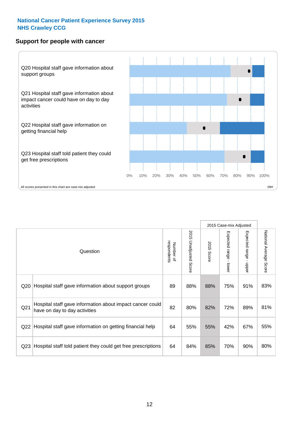#### **Support for people with cancer**



|                 |                                                                                            |                          |                                 |               | 2015 Case-mix Adjusted                  |                                           |                        |
|-----------------|--------------------------------------------------------------------------------------------|--------------------------|---------------------------------|---------------|-----------------------------------------|-------------------------------------------|------------------------|
|                 | Question                                                                                   | respondents<br>Number of | 2015<br><b>Unadjusted Score</b> | 2015<br>Score | Expected range<br>$\mathbf{I}$<br>lower | Expected range<br>$\blacksquare$<br>nbber | National Average Score |
| Q <sub>20</sub> | Hospital staff gave information about support groups                                       | 89                       | 88%                             | 88%           | 75%                                     | 91%                                       | 83%                    |
| Q <sub>21</sub> | Hospital staff gave information about impact cancer could<br>have on day to day activities | 82                       | 80%                             | 82%           | 72%                                     | 89%                                       | 81%                    |
| Q <sub>22</sub> | Hospital staff gave information on getting financial help                                  | 64                       | 55%                             | 55%           | 42%                                     | 67%                                       | 55%                    |
| Q <sub>23</sub> | Hospital staff told patient they could get free prescriptions                              | 64                       | 84%                             | 85%           | 70%                                     | 90%                                       | 80%                    |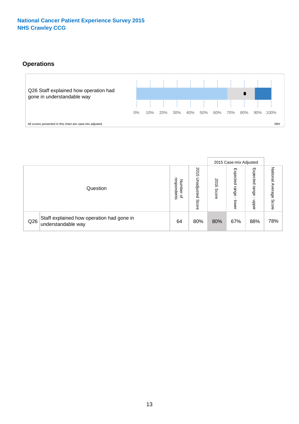# **Operations**



|     |                                                                 |                                         |                             |               | 2015 Case-mix Adjusted     |                           |                              |
|-----|-----------------------------------------------------------------|-----------------------------------------|-----------------------------|---------------|----------------------------|---------------------------|------------------------------|
|     | Question                                                        | respondents<br>Number<br>$\overline{a}$ | 2015<br>Unadjusted<br>Score | 2015<br>Score | Expected<br>range<br>lower | Expected<br>range<br>ddoe | National<br>Average<br>Score |
| Q26 | Staff explained how operation had gone in<br>understandable way | 64                                      | 80%                         | 80%           | 67%                        | 88%                       | 78%                          |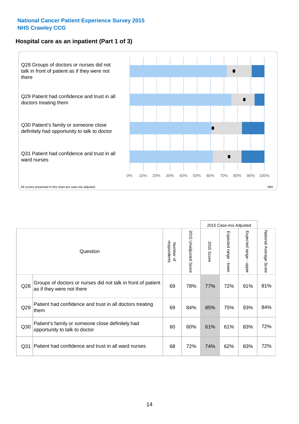# **Hospital care as an inpatient (Part 1 of 3)**



All scores presented in this chart are case-mix adjusted  $0$ 9H

|                 |                                                                                           |                          |                       |                      | 2015 Case-mix Adjusted                    |                                         |                        |
|-----------------|-------------------------------------------------------------------------------------------|--------------------------|-----------------------|----------------------|-------------------------------------------|-----------------------------------------|------------------------|
|                 | Question                                                                                  | respondents<br>Number of | 2015 Unadjusted Score | 2015<br><b>Score</b> | Expected range<br>$\blacksquare$<br>lower | Expected range<br>$\mathbf{I}$<br>nbber | National Average Score |
| Q28             | Groups of doctors or nurses did not talk in front of patient<br>as if they were not there | 69                       | 78%                   | 77%                  | 72%                                       | 91%                                     | 81%                    |
| Q29             | Patient had confidence and trust in all doctors treating<br>them                          | 69                       | 84%                   | 85%                  | 75%                                       | 93%                                     | 84%                    |
| Q30             | Patient's family or someone close definitely had<br>opportunity to talk to doctor         | 60                       | 60%                   | 61%                  | 61%                                       | 83%                                     | 72%                    |
| Q <sub>31</sub> | Patient had confidence and trust in all ward nurses                                       | 68                       | 72%                   | 74%                  | 62%                                       | 83%                                     | 72%                    |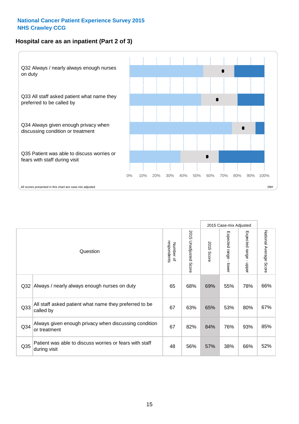### **Hospital care as an inpatient (Part 2 of 3)**



|                 |                                                                         |    |                          |               | 2015 Case-mix Adjusted |                                           |                        |
|-----------------|-------------------------------------------------------------------------|----|--------------------------|---------------|------------------------|-------------------------------------------|------------------------|
| Question        |                                                                         |    | 2015<br>Unadjusted Score | 2015<br>Score | Expected range - lower | Expected range<br>$\blacksquare$<br>nbber | National Average Score |
| Q <sub>32</sub> | Always / nearly always enough nurses on duty                            | 65 | 68%                      | 69%           | 55%                    | 78%                                       | 66%                    |
| Q <sub>33</sub> | All staff asked patient what name they preferred to be<br>called by     | 67 | 63%                      | 65%           | 53%                    | 80%                                       | 67%                    |
| Q <sub>34</sub> | Always given enough privacy when discussing condition<br>or treatment   | 67 | 82%                      | 84%           | 76%                    | 93%                                       | 85%                    |
| Q35             | Patient was able to discuss worries or fears with staff<br>during visit | 48 | 56%                      | 57%           | 38%                    | 66%                                       | 52%                    |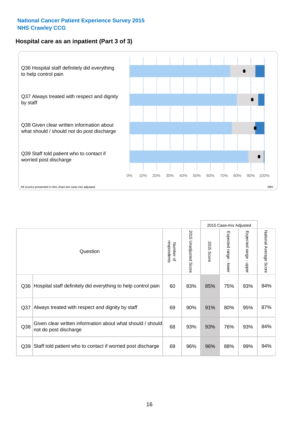# **Hospital care as an inpatient (Part 3 of 3)**



|                 |                                                                                     |                          |                                 |               | 2015 Case-mix Adjusted  |                        |                        |
|-----------------|-------------------------------------------------------------------------------------|--------------------------|---------------------------------|---------------|-------------------------|------------------------|------------------------|
|                 | Question                                                                            | respondents<br>Number of | 2015<br><b>Unadjusted Score</b> | 2015<br>Score | Expected range<br>lower | Expected range - upper | National Average Score |
| Q36             | Hospital staff definitely did everything to help control pain                       | 60                       | 83%                             | 85%           | 75%                     | 93%                    | 84%                    |
| Q <sub>37</sub> | Always treated with respect and dignity by staff                                    |                          | 90%                             | 91%           | 80%                     | 95%                    | 87%                    |
| Q38             | Given clear written information about what should / should<br>not do post discharge | 68                       | 93%                             | 93%           | 76%                     | 93%                    | 84%                    |
| Q39             | Staff told patient who to contact if worried post discharge                         | 69                       | 96%                             | 96%           | 88%                     | 99%                    | 94%                    |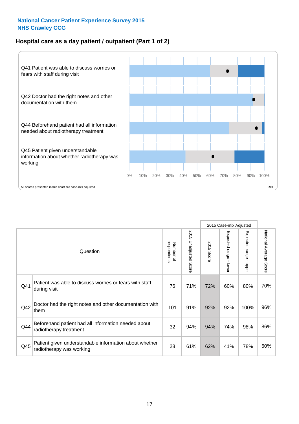### **Hospital care as a day patient / outpatient (Part 1 of 2)**



|     |                                                                                    |                          |                                 | 2015 Case-mix Adjusted |                                         |                                         |                        |
|-----|------------------------------------------------------------------------------------|--------------------------|---------------------------------|------------------------|-----------------------------------------|-----------------------------------------|------------------------|
|     | Question                                                                           | respondents<br>Number of | 2015<br><b>Unadjusted Score</b> | 2015<br><b>Score</b>   | Expected range<br>$\mathbf{r}$<br>lower | Expected range<br>$\mathbf{I}$<br>nbber | National Average Score |
| Q41 | Patient was able to discuss worries or fears with staff<br>during visit            | 76                       | 71%                             | 72%                    | 60%                                     | 80%                                     | 70%                    |
| Q42 | Doctor had the right notes and other documentation with<br>them                    | 101                      | 91%                             | 92%                    | 92%                                     | 100%                                    | 96%                    |
| Q44 | Beforehand patient had all information needed about<br>radiotherapy treatment      | 32                       | 94%                             | 94%                    | 74%                                     | 98%                                     | 86%                    |
| Q45 | Patient given understandable information about whether<br>radiotherapy was working | 28                       | 61%                             | 62%                    | 41%                                     | 78%                                     | 60%                    |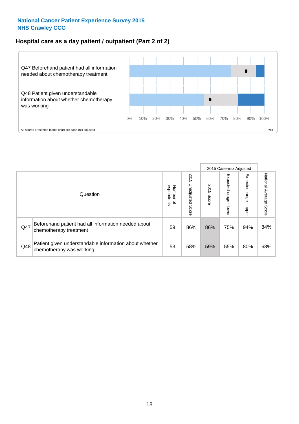### **Hospital care as a day patient / outpatient (Part 2 of 2)**



|          |                                                                                    |                                       |                             | 2015 Case-mix Adjusted |                              |                           |                           |
|----------|------------------------------------------------------------------------------------|---------------------------------------|-----------------------------|------------------------|------------------------------|---------------------------|---------------------------|
| Question |                                                                                    | respondents<br>Number<br>$\mathbf{Q}$ | 2015<br>Unadjusted<br>Score | 2015<br>Score          | Expected<br>I range<br>lower | Expected<br>range<br>ddau | National Average<br>Score |
| Q47      | Beforehand patient had all information needed about<br>chemotherapy treatment      | 59                                    | 86%                         | 86%                    | 75%                          | 94%                       | 84%                       |
| Q48      | Patient given understandable information about whether<br>chemotherapy was working | 53                                    | 58%                         | 59%                    | 55%                          | 80%                       | 68%                       |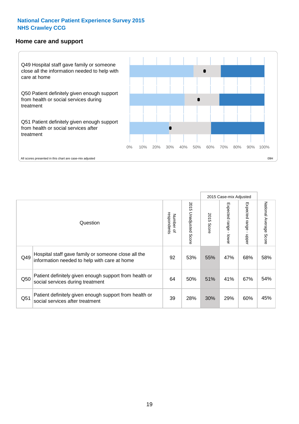#### **Home care and support**



All scores presented in this chart are case-mix adjusted

|     |                                                                                                     | 2015 Case-mix Adjusted   |                          |               |                              |                        |                           |
|-----|-----------------------------------------------------------------------------------------------------|--------------------------|--------------------------|---------------|------------------------------|------------------------|---------------------------|
|     | Question                                                                                            | respondents<br>Number of | 2015<br>Unadjusted Score | 2015<br>Score | Expected<br>I range<br>lower | Expected range<br>mper | National Average<br>Score |
| Q49 | Hospital staff gave family or someone close all the<br>information needed to help with care at home | 92                       | 53%                      | 55%           | 47%                          | 68%                    | 58%                       |
| Q50 | Patient definitely given enough support from health or<br>social services during treatment          | 64                       | 50%                      | 51%           | 41%                          | 67%                    | 54%                       |
| Q51 | Patient definitely given enough support from health or<br>social services after treatment           | 39                       | 28%                      | 30%           | 29%                          | 60%                    | 45%                       |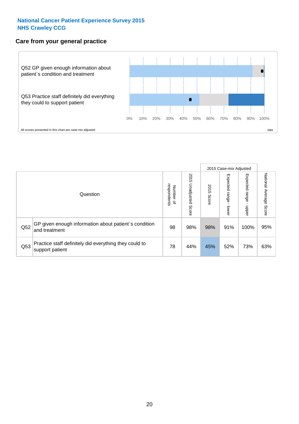## **Care from your general practice**



|          |                                                                           | 2015 Case-mix Adjusted                |                             |               |                                   |                            |                           |
|----------|---------------------------------------------------------------------------|---------------------------------------|-----------------------------|---------------|-----------------------------------|----------------------------|---------------------------|
| Question |                                                                           | respondents<br>Number<br>$\mathbf{Q}$ | 2015<br>Unadjusted<br>Score | 2015<br>Score | Expected<br><b>Lange</b><br>lower | Expected<br>range<br>doper | National Average<br>Score |
| Q52      | GP given enough information about patient's condition<br>and treatment    | 98                                    | 98%                         | 98%           | 91%                               | 100%                       | 95%                       |
| Q53      | Practice staff definitely did everything they could to<br>support patient | 78                                    | 44%                         | 45%           | 52%                               | 73%                        | 63%                       |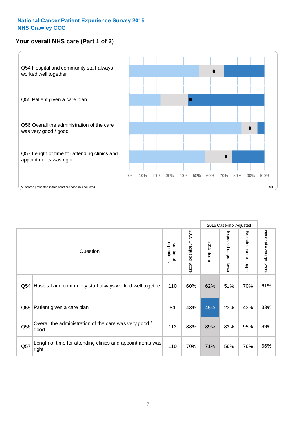# **Your overall NHS care (Part 1 of 2)**



|     |                                                                    |                          |                                 | 2015 Case-mix Adjusted |                         |                                           |                        |
|-----|--------------------------------------------------------------------|--------------------------|---------------------------------|------------------------|-------------------------|-------------------------------------------|------------------------|
|     | Question                                                           | respondents<br>Number of | 2015<br><b>Unadjusted Score</b> | 2015<br><b>Score</b>   | Expected range<br>lower | Expected range<br>$\blacksquare$<br>nbber | National Average Score |
| Q54 | Hospital and community staff always worked well together           | 110                      | 60%                             | 62%                    | 51%                     | 70%                                       | 61%                    |
| Q55 | Patient given a care plan                                          | 84                       | 43%                             | 45%                    | 23%                     | 43%                                       | 33%                    |
| Q56 | Overall the administration of the care was very good /<br>good     | 112                      | 88%                             | 89%                    | 83%                     | 95%                                       | 89%                    |
| Q57 | Length of time for attending clinics and appointments was<br>right | 110                      | 70%                             | 71%                    | 56%                     | 76%                                       | 66%                    |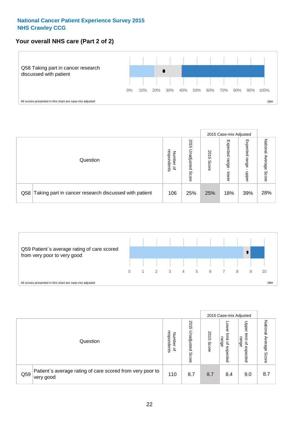## **Your overall NHS care (Part 2 of 2)**



|          |                                                           | 2015 Case-mix Adjusted                  |                             |               |                            |                            |                           |
|----------|-----------------------------------------------------------|-----------------------------------------|-----------------------------|---------------|----------------------------|----------------------------|---------------------------|
| Question |                                                           | respondents<br>Number<br>$\overline{a}$ | 2015<br>Unadjusted<br>Score | 2015<br>Score | Expected<br>range<br>lower | Expected<br>range<br>doper | National<br>Average Score |
|          | Q58 Taking part in cancer research discussed with patient | 106                                     | 25%                         | 25%           | 18%                        | 39%                        | 28%                       |



|     |                                                                        | 2015 Case-mix Adjusted                       |                             |               |                                                    |                                                       |                              |
|-----|------------------------------------------------------------------------|----------------------------------------------|-----------------------------|---------------|----------------------------------------------------|-------------------------------------------------------|------------------------------|
|     | Question                                                               | respondents<br>Number<br>$\overline{\sigma}$ | 2015<br>Unadjusted<br>Score | 2015<br>Score | OWer<br>limit<br>range<br>$\mathbf{a}$<br>expected | Upper<br>limit<br>range<br>$\overline{a}$<br>expected | National<br>Average<br>Score |
| Q59 | Patient's average rating of care scored from very poor to<br>very good | 110                                          | 8.7                         | 8.7           | 8.4                                                | 9.0                                                   | 8.7                          |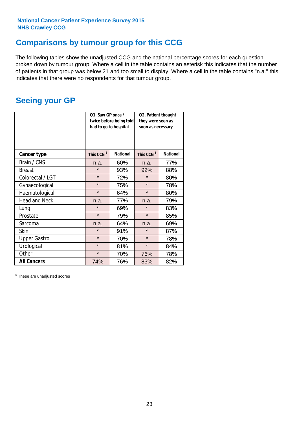# **Comparisons by tumour group for this CCG**

The following tables show the unadjusted CCG and the national percentage scores for each question broken down by tumour group. Where a cell in the table contains an asterisk this indicates that the number of patients in that group was below 21 and too small to display. Where a cell in the table contains "n.a." this indicates that there were no respondents for that tumour group.

# **Seeing your GP**

|                      |                        | Q1. Saw GP once /<br>Q2. Patient thought<br>twice before being told<br>they were seen as<br>had to go to hospital<br>soon as necessary |                        |                 |
|----------------------|------------------------|----------------------------------------------------------------------------------------------------------------------------------------|------------------------|-----------------|
| <b>Cancer type</b>   | This CCG <sup>\$</sup> | <b>National</b>                                                                                                                        | This CCG <sup>\$</sup> | <b>National</b> |
| Brain / CNS          | n.a.                   | 60%                                                                                                                                    | n.a.                   | 77%             |
| <b>Breast</b>        | $\star$                | 93%                                                                                                                                    | 92%                    | 88%             |
| Colorectal / LGT     | $\star$<br>72%         |                                                                                                                                        | $\star$                | 80%             |
| Gynaecological       | $\star$                | 75%                                                                                                                                    | $\star$                | 78%             |
| Haematological       | $\star$                | 64%                                                                                                                                    | $\star$                | 80%             |
| <b>Head and Neck</b> | n.a.                   | 77%                                                                                                                                    | n.a.                   | 79%             |
| Lung                 | $\star$                | 69%                                                                                                                                    | $\star$                | 83%             |
| Prostate             | $\star$                | 79%                                                                                                                                    | $\star$                | 85%             |
| Sarcoma              | n.a.                   | 64%                                                                                                                                    | n.a.                   | 69%             |
| <b>Skin</b>          | $\star$                | 91%                                                                                                                                    | $\star$                | 87%             |
| <b>Upper Gastro</b>  | $\star$                | 70%                                                                                                                                    | $\star$                | 78%             |
| Urological           | $\star$                | 81%                                                                                                                                    | $\star$                | 84%             |
| Other                | $\star$                | 70%                                                                                                                                    | 76%                    | 78%             |
| <b>All Cancers</b>   | 74%                    | 76%                                                                                                                                    | 83%                    | 82%             |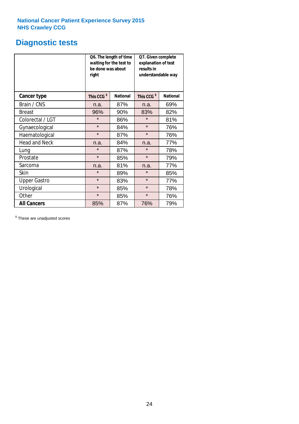# **Diagnostic tests**

|                      | be done was about<br>right | Q6. The length of time<br>waiting for the test to | Q7. Given complete<br>explanation of test<br>results in<br>understandable way |                 |  |  |
|----------------------|----------------------------|---------------------------------------------------|-------------------------------------------------------------------------------|-----------------|--|--|
| <b>Cancer type</b>   | This CCG <sup>\$</sup>     | <b>National</b>                                   | This CCG <sup>\$</sup>                                                        | <b>National</b> |  |  |
| Brain / CNS          | n.a.                       | 87%                                               | n.a.                                                                          | 69%             |  |  |
| <b>Breast</b>        | 96%                        | 90%                                               | 83%                                                                           | 82%             |  |  |
| Colorectal / LGT     | $\star$                    | 86%                                               | $\star$                                                                       | 81%             |  |  |
| Gynaecological       | $\star$                    | 84%                                               | $\star$                                                                       | 76%             |  |  |
| Haematological       | $\star$                    | 87%                                               | $\star$                                                                       | 76%             |  |  |
| <b>Head and Neck</b> | n.a.                       | 84%                                               | n.a.                                                                          | 77%             |  |  |
| Lung                 | $\star$                    | 87%                                               | $\star$                                                                       | 78%             |  |  |
| Prostate             | $\star$                    | 85%                                               | $\star$                                                                       | 79%             |  |  |
| Sarcoma              | n.a.                       | 81%                                               | n.a.                                                                          | 77%             |  |  |
| Skin                 | $\star$                    | 89%                                               | $\star$                                                                       | 85%             |  |  |
| <b>Upper Gastro</b>  | $\star$                    | 83%                                               | $\star$                                                                       | 77%             |  |  |
| Urological           | $\star$                    | 85%                                               | $\star$                                                                       | 78%             |  |  |
| Other                | $\star$                    | 85%                                               | $\star$                                                                       | 76%             |  |  |
| <b>All Cancers</b>   | 85%                        | 87%                                               | 76%                                                                           | 79%             |  |  |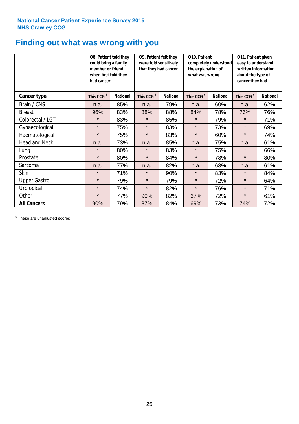# **Finding out what was wrong with you**

|                      | Q8. Patient told they<br>could bring a family<br>member or friend<br>when first told they<br>had cancer |                 | Q9. Patient felt they<br>were told sensitively<br>that they had cancer |                 | Q10. Patient<br>completely understood<br>the explanation of<br>what was wrong |                 | Q11. Patient given<br>easy to understand<br>written information<br>about the type of<br>cancer they had |                 |
|----------------------|---------------------------------------------------------------------------------------------------------|-----------------|------------------------------------------------------------------------|-----------------|-------------------------------------------------------------------------------|-----------------|---------------------------------------------------------------------------------------------------------|-----------------|
| Cancer type          | This CCG <sup>\$</sup>                                                                                  | <b>National</b> | This CCG <sup>\$</sup>                                                 | <b>National</b> | This CCG <sup>\$</sup>                                                        | <b>National</b> |                                                                                                         | <b>National</b> |
| Brain / CNS          | n.a.                                                                                                    | 85%             | n.a.                                                                   | 79%             | n.a.                                                                          | 60%             | n.a.                                                                                                    | 62%             |
| <b>Breast</b>        | 96%                                                                                                     | 83%             | 88%                                                                    | 88%             | 84%                                                                           | 78%             | 76%                                                                                                     | 76%             |
| Colorectal / LGT     | $\star$                                                                                                 | 83%             | $\star$                                                                | 85%             | $\star$                                                                       | 79%             | $\star$                                                                                                 | 71%             |
| Gynaecological       | $\star$                                                                                                 | 75%             | $\star$                                                                | 83%             | $\star$                                                                       | 73%             | $\star$                                                                                                 | 69%             |
| Haematological       | $\star$                                                                                                 | 75%             | $\star$                                                                | 83%             | $\star$                                                                       | 60%             | $\star$                                                                                                 | 74%             |
| <b>Head and Neck</b> | n.a.                                                                                                    | 73%             | n.a.                                                                   | 85%             | n.a.                                                                          | 75%             | n.a.                                                                                                    | 61%             |
| Lung                 | $\star$                                                                                                 | 80%             | $\star$                                                                | 83%             | $\star$                                                                       | 75%             | $\star$                                                                                                 | 66%             |
| Prostate             | $\star$                                                                                                 | 80%             | $\star$                                                                | 84%             | $\star$                                                                       | 78%             | $\star$                                                                                                 | 80%             |
| Sarcoma              | n.a.                                                                                                    | 77%             | n.a.                                                                   | 82%             | n.a.                                                                          | 63%             | n.a.                                                                                                    | 61%             |
| Skin                 | $\star$                                                                                                 | 71%             | $\star$                                                                | 90%             | $\star$                                                                       | 83%             | $\star$                                                                                                 | 84%             |
| <b>Upper Gastro</b>  | $\star$                                                                                                 | 79%             | $\star$                                                                | 79%             | $\star$                                                                       | 72%             | $\star$                                                                                                 | 64%             |
| Urological           | $\star$                                                                                                 | 74%             | $\star$                                                                | 82%             | $\star$                                                                       | 76%             | $\star$                                                                                                 | 71%             |
| Other                | $\star$                                                                                                 | 77%             | 90%                                                                    | 82%             | 67%                                                                           | 72%             | $\star$                                                                                                 | 61%             |
| <b>All Cancers</b>   | 90%                                                                                                     | 79%             | 87%                                                                    | 84%             | 69%                                                                           | 73%             | 74%                                                                                                     | 72%             |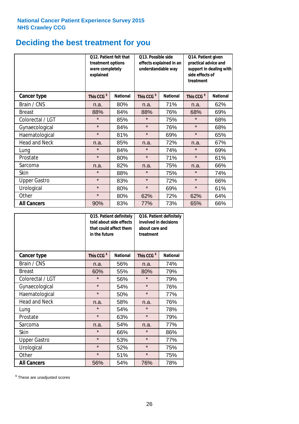# **Deciding the best treatment for you**

|                      | treatment options<br>were completely<br>explained | <b>Q12. Patient felt that</b> | Q13. Possible side<br>effects explained in an<br>understandable way |                 | Q14. Patient given<br>practical advice and<br>support in dealing with<br>side effects of<br>treatment |                 |  |
|----------------------|---------------------------------------------------|-------------------------------|---------------------------------------------------------------------|-----------------|-------------------------------------------------------------------------------------------------------|-----------------|--|
| <b>Cancer type</b>   | This CCG <sup>\$</sup>                            | <b>National</b>               | This CCG <sup>\$</sup>                                              | <b>National</b> | This CCG <sup>\$</sup>                                                                                | <b>National</b> |  |
| Brain / CNS          | n.a.                                              | 80%                           | n.a.                                                                | 71%             | n.a.                                                                                                  | 62%             |  |
| <b>Breast</b>        | 88%                                               | 84%                           | 88%                                                                 | 76%             | 68%                                                                                                   | 69%             |  |
| Colorectal / LGT     | $\star$                                           | 85%                           | $\star$                                                             | 75%             | $\star$                                                                                               | 68%             |  |
| Gynaecological       | $\star$                                           | 84%                           | $\star$                                                             | 76%             | $\star$                                                                                               | 68%             |  |
| Haematological       | $\star$                                           | 81%                           | $\star$<br>69%                                                      |                 | $\star$                                                                                               | 65%             |  |
| <b>Head and Neck</b> | n.a.                                              | 85%                           | n.a.                                                                | 72%             | n.a.                                                                                                  | 67%             |  |
| Lung                 | $\star$                                           | 84%                           | $\star$                                                             | 74%             | $\star$                                                                                               | 69%             |  |
| Prostate             | $\star$                                           | 80%                           | $\star$                                                             | 71%             | $\star$                                                                                               | 61%             |  |
| Sarcoma              | n.a.                                              | 82%                           | n.a.                                                                | 75%             | n.a.                                                                                                  | 66%             |  |
| Skin                 | $\star$                                           | 88%                           | $\star$                                                             | 75%             | $\star$                                                                                               | 74%             |  |
| <b>Upper Gastro</b>  | $\star$                                           | 83%                           | $\star$                                                             | 72%             | $\star$                                                                                               | 66%             |  |
| Urological           | $\star$                                           | 80%                           | $\star$                                                             | 69%             | $\star$                                                                                               | 61%             |  |
| Other                | $\star$                                           | 80%                           | 62%                                                                 | 72%             | 62%                                                                                                   | 64%             |  |
| <b>All Cancers</b>   | 90%                                               | 83%                           | 77%                                                                 | 73%             | 65%                                                                                                   | 66%             |  |

|                      | in the future          | Q15. Patient definitely<br>told about side effects<br>that could affect them | Q16. Patient definitely<br>involved in decisions<br>about care and<br>treatment |                 |  |
|----------------------|------------------------|------------------------------------------------------------------------------|---------------------------------------------------------------------------------|-----------------|--|
| <b>Cancer type</b>   | This CCG <sup>\$</sup> | <b>National</b>                                                              | This CCG <sup>\$</sup>                                                          | <b>National</b> |  |
| Brain / CNS          | n.a.                   | 56%                                                                          | n.a.                                                                            | 74%             |  |
| <b>Breast</b>        | 60%                    | 55%                                                                          | 80%                                                                             | 79%             |  |
| Colorectal / LGT     | $\star$                | 56%                                                                          | $\star$                                                                         | 79%             |  |
| Gynaecological       | $\star$<br>54%         |                                                                              | $\star$                                                                         | 76%             |  |
| Haematological       | $\star$                | 50%                                                                          | $\star$                                                                         | 77%             |  |
| <b>Head and Neck</b> | n.a.                   | 58%                                                                          | n.a.                                                                            | 76%             |  |
| Lung                 | $\star$                | 54%                                                                          | $\star$                                                                         | 78%             |  |
| Prostate             | $\star$                | 63%                                                                          | $\star$                                                                         | 79%             |  |
| Sarcoma              | n.a.                   | 54%                                                                          | n.a.                                                                            | 77%             |  |
| Skin                 | $\star$                | 66%                                                                          | $\star$                                                                         | 86%             |  |
| <b>Upper Gastro</b>  | $\star$                | 53%                                                                          | $\star$                                                                         | 77%             |  |
| Urological           | $\star$                | 52%                                                                          | $\star$                                                                         | 75%             |  |
| Other                | $\star$                | 51%                                                                          | $\star$                                                                         | 75%             |  |
| <b>All Cancers</b>   | 56%                    | 54%                                                                          | 76%                                                                             | 78%             |  |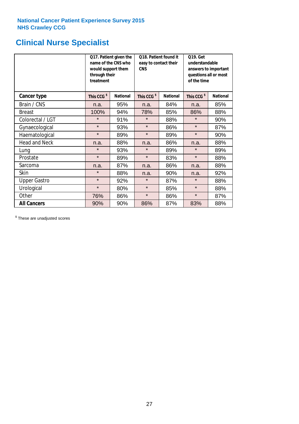# **Clinical Nurse Specialist**

|                      | would support them<br>through their<br>treatment | Q17. Patient given the<br>name of the CNS who | Q18. Patient found it<br>easy to contact their<br><b>CNS</b> |                 | <b>Q19. Get</b><br>understandable<br>answers to important<br>questions all or most<br>of the time |                 |
|----------------------|--------------------------------------------------|-----------------------------------------------|--------------------------------------------------------------|-----------------|---------------------------------------------------------------------------------------------------|-----------------|
| <b>Cancer type</b>   | This CCG <sup>\$</sup>                           | <b>National</b>                               | This CCG <sup>\$</sup>                                       | <b>National</b> | This CCG <sup>\$</sup>                                                                            | <b>National</b> |
| Brain / CNS          | n.a.                                             | 95%                                           | n.a.                                                         | 84%             | n.a.                                                                                              | 85%             |
| <b>Breast</b>        | 100%                                             | 94%                                           | 78%                                                          | 85%             | 86%                                                                                               | 88%             |
| Colorectal / LGT     | $\star$                                          | 91%                                           | $\star$                                                      | 88%             | $\star$                                                                                           | 90%             |
| Gynaecological       | $\star$                                          | 93%                                           | $\star$                                                      | 86%             | $\star$                                                                                           | 87%             |
| Haematological       | $\star$                                          | 89%                                           | $\star$<br>89%                                               |                 | $\star$                                                                                           | 90%             |
| <b>Head and Neck</b> | n.a.                                             | 88%                                           | n.a.                                                         | 86%             | n.a.                                                                                              | 88%             |
| Lung                 | $\star$                                          | 93%                                           | $\star$                                                      | 89%             | $\star$                                                                                           | 89%             |
| Prostate             | $\star$                                          | 89%                                           | $\star$                                                      | 83%             | $\star$                                                                                           | 88%             |
| Sarcoma              | n.a.                                             | 87%                                           | n.a.                                                         | 86%             | n.a.                                                                                              | 88%             |
| Skin                 | $\star$                                          | 88%                                           | n.a.                                                         | 90%             | n.a.                                                                                              | 92%             |
| <b>Upper Gastro</b>  | $\star$                                          | 92%                                           | $\star$                                                      | 87%             | $\star$                                                                                           | 88%             |
| Urological           | $\star$                                          | 80%                                           | $\star$                                                      | 85%             | $\star$                                                                                           | 88%             |
| Other                | 76%                                              | 86%                                           | $\star$                                                      | 86%             | $\star$                                                                                           | 87%             |
| <b>All Cancers</b>   | 90%                                              | 90%                                           | 86%                                                          | 87%             | 83%                                                                                               | 88%             |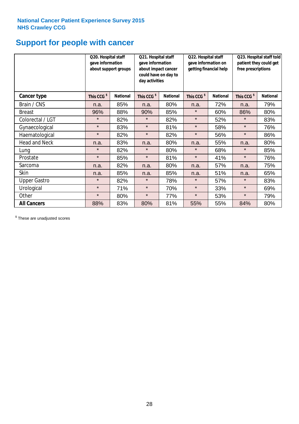# **Support for people with cancer**

|                      | Q20. Hospital staff<br>gave information<br>about support groups |                 | Q21. Hospital staff<br>gave information<br>about impact cancer<br>could have on day to<br>day activities |                 | Q22. Hospital staff<br>gave information on<br>getting financial help |                 | Q23. Hospital staff told<br>patient they could get<br>free prescriptions |                 |
|----------------------|-----------------------------------------------------------------|-----------------|----------------------------------------------------------------------------------------------------------|-----------------|----------------------------------------------------------------------|-----------------|--------------------------------------------------------------------------|-----------------|
| Cancer type          | This CCG <sup>\$</sup>                                          | <b>National</b> | This CCG <sup>\$</sup>                                                                                   | <b>National</b> | This CCG <sup>\$</sup>                                               | <b>National</b> | This CCG <sup>\$</sup>                                                   | <b>National</b> |
| Brain / CNS          | n.a.                                                            | 85%             | n.a.                                                                                                     | 80%             | n.a.                                                                 | 72%             | n.a.                                                                     | 79%             |
| <b>Breast</b>        | 96%                                                             | 88%             | 90%                                                                                                      | 85%             | $\star$                                                              | 60%             | 86%                                                                      | 80%             |
| Colorectal / LGT     | $\star$                                                         | 82%             | $\star$                                                                                                  | 82%             | $\star$                                                              | 52%             | $\star$                                                                  | 83%             |
| Gynaecological       | $\star$                                                         | 83%             | $\star$                                                                                                  | 81%             | $\star$                                                              | 58%             | $\star$                                                                  | 76%             |
| Haematological       | $\star$                                                         | 82%             | $\star$                                                                                                  | 82%             | $\star$                                                              | 56%             | $\star$                                                                  | 86%             |
| <b>Head and Neck</b> | n.a.                                                            | 83%             | n.a.                                                                                                     | 80%             | n.a.                                                                 | 55%             | n.a.                                                                     | 80%             |
| Lung                 | $\star$                                                         | 82%             | $\star$                                                                                                  | 80%             | $\star$                                                              | 68%             | $\star$                                                                  | 85%             |
| Prostate             | $\star$                                                         | 85%             | $\star$                                                                                                  | 81%             | $\star$                                                              | 41%             | $\star$                                                                  | 76%             |
| Sarcoma              | n.a.                                                            | 82%             | n.a.                                                                                                     | 80%             | n.a.                                                                 | 57%             | n.a.                                                                     | 75%             |
| Skin                 | n.a.                                                            | 85%             | n.a.                                                                                                     | 85%             | n.a.                                                                 | 51%             | n.a.                                                                     | 65%             |
| <b>Upper Gastro</b>  | $\star$                                                         | 82%             | $\star$                                                                                                  | 78%             | $\star$                                                              | 57%             | $\star$                                                                  | 83%             |
| Urological           | $\star$                                                         | 71%             | $\star$                                                                                                  | 70%             | $\star$                                                              | 33%             | $\star$                                                                  | 69%             |
| Other                | $\star$                                                         | 80%             | $\star$                                                                                                  | 77%             | $\star$                                                              | 53%             | $\star$                                                                  | 79%             |
| <b>All Cancers</b>   | 88%                                                             | 83%             | 80%                                                                                                      | 81%             | 55%                                                                  | 55%             | 84%                                                                      | 80%             |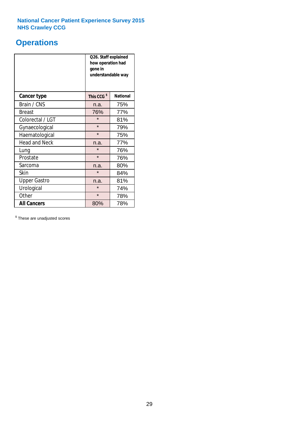# **Operations**

|                      | Q26. Staff explained<br>how operation had<br>gone in<br>understandable way |                 |  |  |  |
|----------------------|----------------------------------------------------------------------------|-----------------|--|--|--|
| <b>Cancer type</b>   | This CCG <sup>\$</sup>                                                     | <b>National</b> |  |  |  |
| Brain / CNS          | n.a.                                                                       | 75%             |  |  |  |
| <b>Breast</b>        | 76%                                                                        | 77%             |  |  |  |
| Colorectal / LGT     | $\star$                                                                    | 81%             |  |  |  |
| Gynaecological       | $\star$<br>79%                                                             |                 |  |  |  |
| Haematological       | $\star$<br>75%                                                             |                 |  |  |  |
| <b>Head and Neck</b> | n.a.                                                                       | 77%             |  |  |  |
| Lung                 | $\star$                                                                    | 76%             |  |  |  |
| Prostate             | $\star$                                                                    | 76%             |  |  |  |
| Sarcoma              | n.a.                                                                       | 80%             |  |  |  |
| Skin                 | $\star$                                                                    | 84%             |  |  |  |
| <b>Upper Gastro</b>  | n.a.                                                                       | 81%             |  |  |  |
| Urological           | $\star$                                                                    | 74%             |  |  |  |
| Other                | $\star$<br>78%                                                             |                 |  |  |  |
| <b>All Cancers</b>   | 78%<br>80%                                                                 |                 |  |  |  |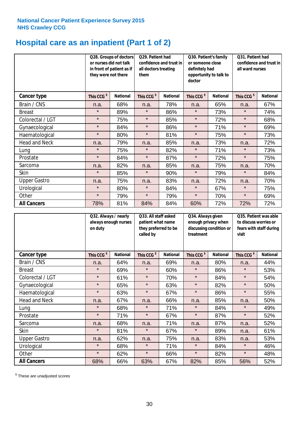# **Hospital care as an inpatient (Part 1 of 2)**

|                     | or nurses did not talk<br>they were not there | Q28. Groups of doctors<br>in front of patient as if | Q29. Patient had<br>confidence and trust in<br>all doctors treating<br>them |                 | Q30. Patient's family<br>or someone close<br>definitely had<br>opportunity to talk to<br>doctor |                 | Q31. Patient had<br>confidence and trust in I<br>all ward nurses |                 |
|---------------------|-----------------------------------------------|-----------------------------------------------------|-----------------------------------------------------------------------------|-----------------|-------------------------------------------------------------------------------------------------|-----------------|------------------------------------------------------------------|-----------------|
| Cancer type         | This CCG <sup>\$</sup>                        | <b>National</b>                                     | This CCG <sup>\$</sup>                                                      | <b>National</b> | This CCG <sup>\$</sup>                                                                          | <b>National</b> | This CCG <sup>\$</sup>                                           | <b>National</b> |
| Brain / CNS         | n.a.                                          | 68%                                                 | n.a.                                                                        | 78%             | n.a.                                                                                            | 65%             | n.a.                                                             | 67%             |
| <b>Breast</b>       | $\star$                                       | 89%                                                 | $\star$                                                                     | 86%             | $\star$                                                                                         | 73%             | $\star$                                                          | 74%             |
| Colorectal / LGT    | $\star$                                       | 75%                                                 | $\star$                                                                     | 85%             | $\star$                                                                                         | 72%             | $\star$                                                          | 68%             |
| Gynaecological      | $\star$                                       | 84%                                                 | $\star$                                                                     | 86%             | $\star$                                                                                         | 71%             | $\star$                                                          | 69%             |
| Haematological      | $\star$                                       | 80%                                                 | $\star$                                                                     | 81%             | $\star$                                                                                         | 75%             | $\star$                                                          | 73%             |
| Head and Neck       | n.a.                                          | 79%                                                 | n.a.                                                                        | 85%             | n.a.                                                                                            | 73%             | n.a.                                                             | 72%             |
| Lung                | $\star$                                       | 75%                                                 | $\star$                                                                     | 82%             | $\star$                                                                                         | 71%             | $\star$                                                          | 73%             |
| Prostate            | $\star$                                       | 84%                                                 | $\star$                                                                     | 87%             | $\star$                                                                                         | 72%             | $\star$                                                          | 75%             |
| Sarcoma             | n.a.                                          | 82%                                                 | n.a.                                                                        | 85%             | n.a.                                                                                            | 75%             | n.a.                                                             | 70%             |
| Skin                | $\star$                                       | 85%                                                 | $\star$                                                                     | 90%             | $\star$                                                                                         | 79%             | $\star$                                                          | 84%             |
| <b>Upper Gastro</b> | n.a.                                          | 75%                                                 | n.a.                                                                        | 83%             | n.a.                                                                                            | 72%             | n.a.                                                             | 70%             |
| Urological          | $\star$                                       | 80%                                                 | $\star$                                                                     | 84%             | $\star$                                                                                         | 67%             | $\star$                                                          | 75%             |
| Other               | $\star$                                       | 79%                                                 | $\star$                                                                     | 79%             | $\star$                                                                                         | 70%             | $\star$                                                          | 69%             |
| <b>All Cancers</b>  | 78%                                           | 81%                                                 | 84%                                                                         | 84%             | 60%                                                                                             | 72%             | 72%                                                              | 72%             |

|                      | Q32. Always / nearly<br>always enough nurses<br>on duty |                 | Q33. All staff asked<br>patient what name<br>they preferred to be<br>called by |                 | Q34. Always given<br>enough privacy when<br>discussing condition or<br>treatment |                 | Q35. Patient was able<br>to discuss worries or<br>fears with staff during<br>visit |                 |
|----------------------|---------------------------------------------------------|-----------------|--------------------------------------------------------------------------------|-----------------|----------------------------------------------------------------------------------|-----------------|------------------------------------------------------------------------------------|-----------------|
| Cancer type          | This CCG <sup>\$</sup>                                  | <b>National</b> | This CCG <sup>\$</sup>                                                         | <b>National</b> | This CCG <sup>\$</sup>                                                           | <b>National</b> | This CCG <sup>\$</sup>                                                             | <b>National</b> |
| Brain / CNS          | n.a.                                                    | 64%             | n.a.                                                                           | 69%             | n.a.                                                                             | 80%             | n.a.                                                                               | 44%             |
| <b>Breast</b>        | $\star$                                                 | 69%             | $\star$                                                                        | 60%             | $\star$                                                                          | 86%             | $\star$                                                                            | 53%             |
| Colorectal / LGT     | $\star$                                                 | 61%             | $\star$                                                                        | 70%             | $\star$                                                                          | 84%             | $\star$                                                                            | 54%             |
| Gynaecological       | $\star$                                                 | 65%             | $\star$                                                                        | 63%             | $\star$                                                                          | 82%             | $\star$                                                                            | 50%             |
| Haematological       | $\star$                                                 | 63%             | $\star$                                                                        | 67%             | $\star$                                                                          | 86%             | $\star$                                                                            | 55%             |
| <b>Head and Neck</b> | n.a.                                                    | 67%             | n.a.                                                                           | 66%             | n.a.                                                                             | 85%             | n.a.                                                                               | 50%             |
| Lung                 | $\star$                                                 | 68%             | $\star$                                                                        | 71%             | $\star$                                                                          | 84%             | $\star$                                                                            | 49%             |
| Prostate             | $\star$                                                 | 71%             | $\star$                                                                        | 67%             | $\star$                                                                          | 87%             | $\star$                                                                            | 52%             |
| Sarcoma              | n.a.                                                    | 68%             | n.a.                                                                           | 71%             | n.a.                                                                             | 87%             | n.a.                                                                               | 52%             |
| Skin                 | $\star$                                                 | 81%             | $\star$                                                                        | 67%             | $\star$                                                                          | 89%             | n.a.                                                                               | 61%             |
| <b>Upper Gastro</b>  | n.a.                                                    | 62%             | n.a.                                                                           | 75%             | n.a.                                                                             | 83%             | n.a.                                                                               | 53%             |
| Urological           | $\star$                                                 | 68%             | $\star$                                                                        | 71%             | $\star$                                                                          | 84%             | $\star$                                                                            | 46%             |
| Other                | $\star$                                                 | 62%             | $\star$                                                                        | 66%             | $\star$                                                                          | 82%             | $\star$                                                                            | 48%             |
| <b>All Cancers</b>   | 68%                                                     | 66%             | 63%                                                                            | 67%             | 82%                                                                              | 85%             | 56%                                                                                | 52%             |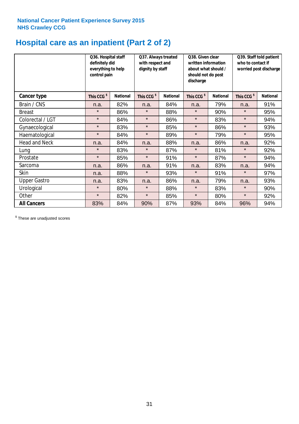# **Hospital care as an inpatient (Part 2 of 2)**

|                      | Q36. Hospital staff<br>definitely did<br>everything to help<br>control pain |                 | Q37. Always treated<br>with respect and<br>dignity by staff |                 | Q38. Given clear<br>written information<br>about what should /<br>should not do post<br>discharge |                 | Q39. Staff told patient<br>who to contact if<br>worried post discharge |                 |
|----------------------|-----------------------------------------------------------------------------|-----------------|-------------------------------------------------------------|-----------------|---------------------------------------------------------------------------------------------------|-----------------|------------------------------------------------------------------------|-----------------|
| Cancer type          | This CCG <sup>\$</sup>                                                      | <b>National</b> | This CCG <sup>\$</sup>                                      | <b>National</b> | This CCG <sup>\$</sup>                                                                            | <b>National</b> | This CCG <sup>\$</sup>                                                 | <b>National</b> |
| Brain / CNS          | n.a.                                                                        | 82%             | n.a.                                                        | 84%             | n.a.                                                                                              | 79%             | n.a.                                                                   | 91%             |
| <b>Breast</b>        | $\star$                                                                     | 86%             | $\star$                                                     | 88%             | $\star$                                                                                           | 90%             | $\star$                                                                | 95%             |
| Colorectal / LGT     | $\star$                                                                     | 84%             | $\star$                                                     | 86%             | $\star$                                                                                           | 83%             | $\star$                                                                | 94%             |
| Gynaecological       | $\star$                                                                     | 83%             | $\star$                                                     | 85%             | $\star$                                                                                           | 86%             | $\star$                                                                | 93%             |
| Haematological       | $\star$                                                                     | 84%             | $\star$                                                     | 89%             | $\star$                                                                                           | 79%             | $\star$                                                                | 95%             |
| <b>Head and Neck</b> | n.a.                                                                        | 84%             | n.a.                                                        | 88%             | n.a.                                                                                              | 86%             | n.a.                                                                   | 92%             |
| Lung                 | $\star$                                                                     | 83%             | $\star$                                                     | 87%             | $\star$                                                                                           | 81%             | $\star$                                                                | 92%             |
| Prostate             | $\star$                                                                     | 85%             | $\star$                                                     | 91%             | $\star$                                                                                           | 87%             | $\star$                                                                | 94%             |
| Sarcoma              | n.a.                                                                        | 86%             | n.a.                                                        | 91%             | n.a.                                                                                              | 83%             | n.a.                                                                   | 94%             |
| Skin                 | n.a.                                                                        | 88%             | $\star$                                                     | 93%             | $\star$                                                                                           | 91%             | $\star$                                                                | 97%             |
| <b>Upper Gastro</b>  | n.a.                                                                        | 83%             | n.a.                                                        | 86%             | n.a.                                                                                              | 79%             | n.a.                                                                   | 93%             |
| Urological           | $\star$                                                                     | 80%             | $\star$                                                     | 88%             | $\star$                                                                                           | 83%             | $\star$                                                                | 90%             |
| Other                | $\star$                                                                     | 82%             | $\star$                                                     | 85%             | $\star$                                                                                           | 80%             | $\star$                                                                | 92%             |
| <b>All Cancers</b>   | 83%                                                                         | 84%             | 90%                                                         | 87%             | 93%                                                                                               | 84%             | 96%                                                                    | 94%             |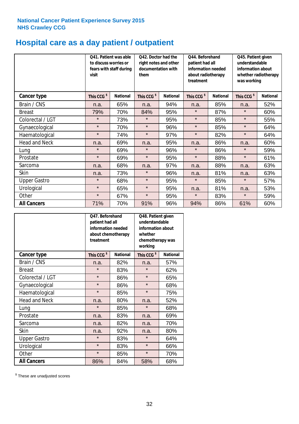# **Hospital care as a day patient / outpatient**

|                      | to discuss worries or<br>visit | Q41. Patient was able<br>Q42. Doctor had the<br>right notes and other<br>documentation with<br>fears with staff during<br>them |                        |                 | Q44. Beforehand<br>patient had all<br>information needed<br>about radiotherapy<br>treatment |                 | Q45. Patient given<br>understandable<br>information about<br>whether radiotherapy<br>was working |                 |
|----------------------|--------------------------------|--------------------------------------------------------------------------------------------------------------------------------|------------------------|-----------------|---------------------------------------------------------------------------------------------|-----------------|--------------------------------------------------------------------------------------------------|-----------------|
| Cancer type          | This CCG <sup>\$</sup>         | <b>National</b>                                                                                                                | This CCG <sup>\$</sup> | <b>National</b> | This CCG <sup>\$</sup>                                                                      | <b>National</b> | This CCG <sup>\$</sup>                                                                           | <b>National</b> |
| Brain / CNS          | n.a.                           | 65%                                                                                                                            | n.a.                   | 94%             | n.a.                                                                                        | 85%             | n.a.                                                                                             | 52%             |
| <b>Breast</b>        | 79%                            | 70%                                                                                                                            | 84%                    | 95%             | $\star$                                                                                     | 87%             | $\star$                                                                                          | 60%             |
| Colorectal / LGT     | $\star$                        | 73%                                                                                                                            | $\star$                | 95%             | $\star$                                                                                     | 85%             | $\star$                                                                                          | 55%             |
| Gynaecological       | $\star$                        | 70%                                                                                                                            | $\star$                | 96%             | $\star$                                                                                     | 85%             | $\star$                                                                                          | 64%             |
| Haematological       | $\star$                        | 74%                                                                                                                            | $\star$                | 97%             | $\star$                                                                                     | 82%             | $\star$                                                                                          | 64%             |
| <b>Head and Neck</b> | n.a.                           | 69%                                                                                                                            | n.a.                   | 95%             | n.a.                                                                                        | 86%             | n.a.                                                                                             | 60%             |
| Lung                 | $\star$                        | 69%                                                                                                                            | $\star$                | 96%             | $\star$                                                                                     | 86%             | $\star$                                                                                          | 59%             |
| Prostate             | $\star$                        | 69%                                                                                                                            | $\star$                | 95%             | $\star$                                                                                     | 88%             | $\star$                                                                                          | 61%             |
| Sarcoma              | n.a.                           | 68%                                                                                                                            | n.a.                   | 97%             | n.a.                                                                                        | 88%             | n.a.                                                                                             | 63%             |
| Skin                 | n.a.                           | 73%                                                                                                                            | $\star$                | 96%             | n.a.                                                                                        | 81%             | n.a.                                                                                             | 63%             |
| <b>Upper Gastro</b>  | $\star$                        | 68%                                                                                                                            | $\star$                | 95%             | $\star$                                                                                     | 85%             | $\star$                                                                                          | 57%             |
| Urological           | $\star$                        | 65%                                                                                                                            | $\star$                | 95%             | n.a.                                                                                        | 81%             | n.a.                                                                                             | 53%             |
| Other                | $\star$                        | 67%                                                                                                                            | $\star$                | 95%             | $\star$                                                                                     | 83%             | $\star$                                                                                          | 59%             |
| <b>All Cancers</b>   | 71%                            | 70%                                                                                                                            | 91%                    | 96%             | 94%                                                                                         | 86%             | 61%                                                                                              | 60%             |

|                      | O47. Beforehand<br>patient had all<br>information needed<br>treatment | about chemotherapy | Q48. Patient given<br>understandable<br>information about<br>whether<br>chemotherapy was<br>working |                 |  |
|----------------------|-----------------------------------------------------------------------|--------------------|-----------------------------------------------------------------------------------------------------|-----------------|--|
| <b>Cancer type</b>   | This CCG <sup>\$</sup>                                                | <b>National</b>    | This CCG <sup>\$</sup>                                                                              | <b>National</b> |  |
| Brain / CNS          | n.a.                                                                  | 82%                | n.a.                                                                                                | 57%             |  |
| <b>Breast</b>        | $\star$                                                               | 83%                | $\star$                                                                                             | 62%             |  |
| Colorectal / LGT     | $\star$                                                               | 86%                | $\star$                                                                                             | 65%             |  |
| Gynaecological       | $\star$<br>86%                                                        |                    | $\star$                                                                                             | 68%             |  |
| Haematological       | $\star$                                                               | 85%                |                                                                                                     | 75%             |  |
| <b>Head and Neck</b> | n.a.                                                                  | 80%                | n.a.                                                                                                | 52%             |  |
| Lung                 | $\star$                                                               | 85%                | $\star$                                                                                             | 68%             |  |
| Prostate             | n.a.                                                                  | 83%                | n.a.                                                                                                | 69%             |  |
| Sarcoma              | n.a.                                                                  | 82%                | n.a.                                                                                                | 70%             |  |
| Skin                 | n.a.                                                                  | 92%                | n.a.                                                                                                | 80%             |  |
| <b>Upper Gastro</b>  | $\star$                                                               | 83%                | $\star$                                                                                             | 64%             |  |
| Urological           | $\star$                                                               | 83%                | $\star$                                                                                             | 66%             |  |
| Other                | $\star$                                                               | 85%                | $\star$                                                                                             | 70%             |  |
| <b>All Cancers</b>   | 86%                                                                   | 84%                | 58%                                                                                                 | 68%             |  |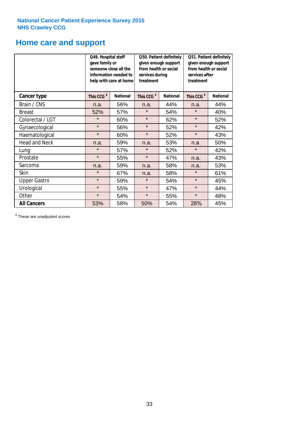# **Home care and support**

|                      | Q49. Hospital staff<br>gave family or | someone close all the<br>information needed to<br>help with care at home | Q50. Patient definitely<br>given enough support<br>from health or social<br>services during<br>treatment |                 | Q51. Patient definitely<br>given enough support<br>from health or social<br>services after<br>treatment |                 |
|----------------------|---------------------------------------|--------------------------------------------------------------------------|----------------------------------------------------------------------------------------------------------|-----------------|---------------------------------------------------------------------------------------------------------|-----------------|
| <b>Cancer type</b>   | This CCG <sup>\$</sup>                | <b>National</b>                                                          | This CCG <sup>\$</sup>                                                                                   | <b>National</b> | This CCG <sup>\$</sup>                                                                                  | <b>National</b> |
| Brain / CNS          | n.a.                                  | 56%                                                                      | n.a.                                                                                                     | 44%             | n.a.                                                                                                    | 44%             |
| <b>Breast</b>        | 52%                                   | 57%                                                                      | $\star$                                                                                                  | 54%             | $\star$                                                                                                 | 40%             |
| Colorectal / LGT     | $\star$                               | 60%                                                                      | $\star$                                                                                                  | 62%             | $\star$                                                                                                 | 52%             |
| Gynaecological       | $\star$                               | 56%                                                                      | $\star$                                                                                                  | 52%             | $\star$                                                                                                 | 42%             |
| Haematological       | $\star$                               | 60%                                                                      | $\star$                                                                                                  | 52%             | $\star$                                                                                                 | 43%             |
| <b>Head and Neck</b> | n.a.                                  | 59%                                                                      | n.a.                                                                                                     | 53%             | n.a.                                                                                                    | 50%             |
| Lung                 | $\star$                               | 57%                                                                      | $\star$                                                                                                  | 52%             | $\star$                                                                                                 | 42%             |
| Prostate             | $\star$                               | 55%                                                                      | $\star$                                                                                                  | 47%             | n.a.                                                                                                    | 43%             |
| Sarcoma              | n.a.                                  | 59%                                                                      | n.a.                                                                                                     | 58%             | n.a.                                                                                                    | 53%             |
| Skin                 | $\star$                               | 67%                                                                      | n.a.                                                                                                     | 58%             | $\star$                                                                                                 | 61%             |
| <b>Upper Gastro</b>  | $\star$                               | 59%                                                                      | $\star$                                                                                                  | 54%             | $\star$                                                                                                 | 45%             |
| Urological           | $\star$                               | 55%                                                                      | $\star$                                                                                                  | 47%             | $\star$                                                                                                 | 44%             |
| Other                | $\star$                               | 54%                                                                      | $\star$                                                                                                  | 55%             | $\star$                                                                                                 | 48%             |
| <b>All Cancers</b>   | 53%                                   | 58%                                                                      | 50%                                                                                                      | 54%             | 28%                                                                                                     | 45%             |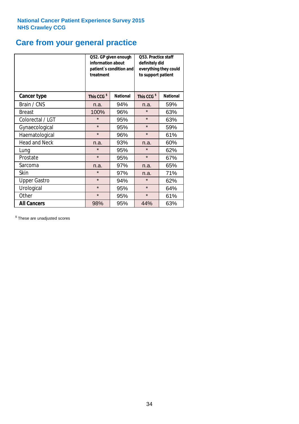# **Care from your general practice**

|                      | information about<br>treatment | Q52. GP given enough<br>patient's condition and | O53. Practice staff<br>definitely did<br>everything they could<br>to support patient |                 |  |
|----------------------|--------------------------------|-------------------------------------------------|--------------------------------------------------------------------------------------|-----------------|--|
| <b>Cancer type</b>   | This CCG <sup>\$</sup>         | <b>National</b>                                 | This CCG <sup>\$</sup>                                                               | <b>National</b> |  |
| Brain / CNS          | n.a.                           | 94%                                             | n.a.                                                                                 | 59%             |  |
| <b>Breast</b>        | 100%                           | 96%                                             | $\star$                                                                              | 63%             |  |
| Colorectal / LGT     | $\star$                        | 95%                                             | $\star$                                                                              | 63%             |  |
| Gynaecological       | $\star$<br>95%                 |                                                 | $\star$                                                                              | 59%             |  |
| Haematological       | $\star$                        | 96%                                             | $\star$                                                                              | 61%             |  |
| <b>Head and Neck</b> | n.a.                           | 93%                                             | n.a.                                                                                 | 60%             |  |
| Lung                 | $\star$                        | 95%                                             | $\star$                                                                              | 62%             |  |
| Prostate             | $\star$                        | 95%                                             | $\star$                                                                              | 67%             |  |
| Sarcoma              | n.a.                           | 97%                                             | n.a.                                                                                 | 65%             |  |
| Skin                 | $\star$                        | 97%                                             | n.a.                                                                                 | 71%             |  |
| <b>Upper Gastro</b>  | $\star$                        | 94%                                             | $\star$                                                                              | 62%             |  |
| Urological           | $\star$                        | 95%                                             | $\star$                                                                              | 64%             |  |
| Other                | $\star$                        | 95%                                             | $\star$                                                                              | 61%             |  |
| <b>All Cancers</b>   | 98%                            | 95%                                             | 44%                                                                                  | 63%             |  |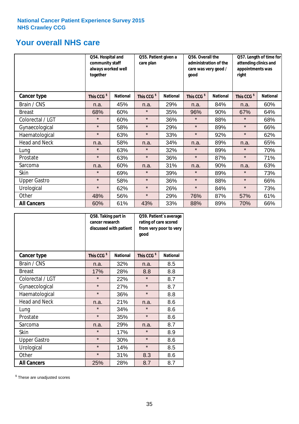# **Your overall NHS care**

|                      | Q54. Hospital and<br>community staff<br>always worked well<br>together |                 | Q55. Patient given a<br>care plan |                 | Q56. Overall the<br>administration of the<br>care was very good /<br>qood |                 | Q57. Length of time for<br>attending clinics and<br>appointments was<br>right |                 |
|----------------------|------------------------------------------------------------------------|-----------------|-----------------------------------|-----------------|---------------------------------------------------------------------------|-----------------|-------------------------------------------------------------------------------|-----------------|
| <b>Cancer type</b>   | This CCG <sup>\$</sup>                                                 | <b>National</b> | This CCG <sup>\$</sup>            | <b>National</b> | This CCG <sup>\$</sup>                                                    | <b>National</b> | This CCG <sup>\$</sup>                                                        | <b>National</b> |
| Brain / CNS          | n.a.                                                                   | 45%             | n.a.                              | 29%             | n.a.                                                                      | 84%             | n.a.                                                                          | 60%             |
| <b>Breast</b>        | 68%                                                                    | 60%             | $\star$                           | 35%             | 96%                                                                       | 90%             | 67%                                                                           | 64%             |
| Colorectal / LGT     | $\star$                                                                | 60%             | $\star$                           | 36%             | $\star$                                                                   | 88%             | $\star$                                                                       | 68%             |
| Gynaecological       | $\star$                                                                | 58%             | $\star$                           | 29%             | $\star$                                                                   | 89%             | $\star$                                                                       | 66%             |
| Haematological       | $\star$                                                                | 63%             | $\star$                           | 33%             | $\star$                                                                   | 92%             | $\star$                                                                       | 62%             |
| <b>Head and Neck</b> | n.a.                                                                   | 58%             | n.a.                              | 34%             | n.a.                                                                      | 89%             | n.a.                                                                          | 65%             |
| Lung                 | $\star$                                                                | 63%             | $\star$                           | 32%             | $\star$                                                                   | 89%             | $\star$                                                                       | 70%             |
| Prostate             | $\star$                                                                | 63%             | $\star$                           | 36%             | $\star$                                                                   | 87%             | $\star$                                                                       | 71%             |
| Sarcoma              | n.a.                                                                   | 60%             | n.a.                              | 31%             | n.a.                                                                      | 90%             | n.a.                                                                          | 63%             |
| Skin                 | $\star$                                                                | 69%             | $\star$                           | 39%             | $\star$                                                                   | 89%             | $\star$                                                                       | 73%             |
| <b>Upper Gastro</b>  | $\star$                                                                | 58%             | $\star$                           | 36%             | $\star$                                                                   | 88%             | $\star$                                                                       | 66%             |
| Urological           | $\star$                                                                | 62%             | $\star$                           | 26%             | $\star$                                                                   | 84%             | $\star$                                                                       | 73%             |
| Other                | 48%                                                                    | 56%             | $\star$                           | 29%             | 76%                                                                       | 87%             | 57%                                                                           | 61%             |
| <b>All Cancers</b>   | 60%                                                                    | 61%             | 43%                               | 33%             | 88%                                                                       | 89%             | 70%                                                                           | 66%             |

|                      | Q58. Taking part in<br>cancer research | discussed with patient | Q59. Patient's average<br>rating of care scored<br>from very poor to very<br>good |                 |  |
|----------------------|----------------------------------------|------------------------|-----------------------------------------------------------------------------------|-----------------|--|
| <b>Cancer type</b>   | This CCG <sup>\$</sup>                 | <b>National</b>        | This CCG <sup>\$</sup>                                                            | <b>National</b> |  |
| Brain / CNS          | n.a.                                   | 32%                    | n.a.                                                                              | 8.5             |  |
| <b>Breast</b>        | 17%                                    | 28%                    | 8.8                                                                               | 8.8             |  |
| Colorectal / LGT     | $\star$                                | 22%                    | $\star$                                                                           | 8.7             |  |
| Gynaecological       | $\star$                                | 27%                    | $\star$                                                                           | 8.7             |  |
| Haematological       | $\star$                                | 36%                    | $\star$                                                                           | 8.8             |  |
| <b>Head and Neck</b> | n.a.                                   | 21%                    | n.a.                                                                              | 8.6             |  |
| Lung                 | $\star$                                | 34%                    | $\star$                                                                           | 8.6             |  |
| Prostate             | $\star$                                | 35%                    | $\star$                                                                           | 8.6             |  |
| Sarcoma              | n.a.                                   | 29%                    | n.a.                                                                              | 8.7             |  |
| Skin                 | $\star$                                | 17%                    | $\star$                                                                           | 8.9             |  |
| <b>Upper Gastro</b>  | $\star$                                | 30%                    | $\star$                                                                           | 8.6             |  |
| Urological           | $\star$                                | 14%                    | $\star$                                                                           | 8.5             |  |
| Other                | $\star$                                | 31%                    | 8.3                                                                               | 8.6             |  |
| <b>All Cancers</b>   | 25%                                    | 28%                    | 8.7                                                                               | 8.7             |  |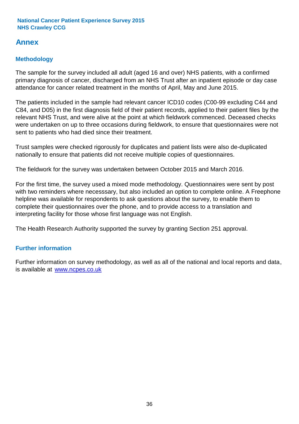# **Annex**

# **Methodology**

The sample for the survey included all adult (aged 16 and over) NHS patients, with a confirmed primary diagnosis of cancer, discharged from an NHS Trust after an inpatient episode or day case attendance for cancer related treatment in the months of April, May and June 2015.

The patients included in the sample had relevant cancer ICD10 codes (C00-99 excluding C44 and C84, and D05) in the first diagnosis field of their patient records, applied to their patient files by the relevant NHS Trust, and were alive at the point at which fieldwork commenced. Deceased checks were undertaken on up to three occasions during fieldwork, to ensure that questionnaires were not sent to patients who had died since their treatment.

Trust samples were checked rigorously for duplicates and patient lists were also de-duplicated nationally to ensure that patients did not receive multiple copies of questionnaires.

The fieldwork for the survey was undertaken between October 2015 and March 2016.

For the first time, the survey used a mixed mode methodology. Questionnaires were sent by post with two reminders where necesssary, but also included an option to complete online. A Freephone helpline was available for respondents to ask questions about the survey, to enable them to complete their questionnaires over the phone, and to provide access to a translation and interpreting facility for those whose first language was not English.

The Health Research Authority supported the survey by granting Section 251 approval.

# **Further information**

Further information on survey methodology, as well as all of the national and local reports and data, is available at www.ncpes.co.uk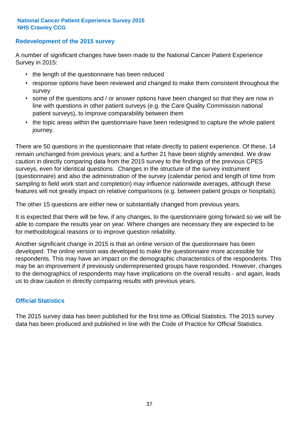### **Redevelopment of the 2015 survey**

A number of significant changes have been made to the National Cancer Patient Experience Survey in 2015:

- the length of the questionnaire has been reduced
- response options have been reviewed and changed to make them consistent throughout the survey
- some of the questions and / or answer options have been changed so that they are now in line with questions in other patient surveys (e.g. the Care Quality Commission national patient surveys), to improve comparability between them
- the topic areas within the questionnaire have been redesigned to capture the whole patient journey.

There are 50 questions in the questionnaire that relate directly to patient experience. Of these, 14 remain unchanged from previous years; and a further 21 have been slightly amended. We draw caution in directly comparing data from the 2015 survey to the findings of the previous CPES surveys, even for identical questions. Changes in the structure of the survey instrument (questionnaire) and also the administration of the survey (calendar period and length of time from sampling to field work start and completion) may influence nationwide averages, although these features will not greatly impact on relative comparisons (e.g. between patient groups or hospitals).

The other 15 questions are either new or substantially changed from previous years.

It is expected that there will be few, if any changes, to the questionnaire going forward so we will be able to compare the results year on year. Where changes are necessary they are expected to be for methodological reasons or to improve question reliability.

Another significant change in 2015 is that an online version of the questionnaire has been developed. The online version was developed to make the questionnaire more accessible for respondents. This may have an impact on the demographic characteristics of the respondents. This may be an improvement if previously underrepresented groups have responded. However, changes to the demographics of respondents may have implications on the overall results - and again, leads us to draw caution in directly comparing results with previous years.

### **Official Statistics**

The 2015 survey data has been published for the first time as Official Statistics. The 2015 survey data has been produced and published in line with the Code of Practice for Official Statistics.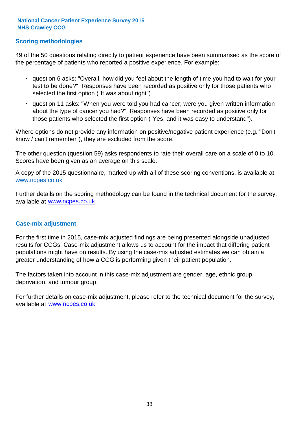### **Scoring methodologies**

49 of the 50 questions relating directly to patient experience have been summarised as the score of the percentage of patients who reported a positive experience. For example:

- question 6 asks: "Overall, how did you feel about the length of time you had to wait for your test to be done?". Responses have been recorded as positive only for those patients who selected the first option ("It was about right")
- question 11 asks: "When you were told you had cancer, were you given written information about the type of cancer you had?". Responses have been recorded as positive only for those patients who selected the first option ("Yes, and it was easy to understand").

Where options do not provide any information on positive/negative patient experience (e.g. "Don't know / can't remember"), they are excluded from the score.

The other question (question 59) asks respondents to rate their overall care on a scale of 0 to 10. Scores have been given as an average on this scale.

A copy of the 2015 questionnaire, marked up with all of these scoring conventions, is available at www.ncpes.co.uk

Further details on the scoring methodology can be found in the technical document for the survey, available at <u>www.ncpes.co.uk</u>

#### **Case-mix adjustment**

For the first time in 2015, case-mix adjusted findings are being presented alongside unadjusted results for CCGs. Case-mix adjustment allows us to account for the impact that differing patient populations might have on results. By using the case-mix adjusted estimates we can obtain a greater understanding of how a CCG is performing given their patient population.

The factors taken into account in this case-mix adjustment are gender, age, ethnic group, deprivation, and tumour group.

For further details on case-mix adjustment, please refer to the technical document for the survey, available at www.ncpes.co.uk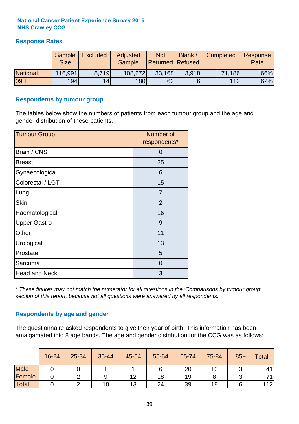### **Response Rates**

|                 | Sample<br><b>Size</b> | <b>Excluded</b> | <b>Adjusted</b><br><b>Sample</b> | <b>Not</b><br><b>Returned Refused</b> | Blank | <b>Completed</b> | Response<br>Rate |
|-----------------|-----------------------|-----------------|----------------------------------|---------------------------------------|-------|------------------|------------------|
| <b>National</b> | 116,991               | 8.719           | 108,272                          | 33,168                                | 3.918 | 71,186           | 66%              |
| 09H             | 194                   | 14              | <b>180</b>                       | 62                                    |       | 112              | 62%              |

#### **Respondents by tumour group**

The tables below show the numbers of patients from each tumour group and the age and gender distribution of these patients.

| <b>Tumour Group</b>  | Number of<br>respondents* |
|----------------------|---------------------------|
| Brain / CNS          | 0                         |
| <b>Breast</b>        | 25                        |
| Gynaecological       | 6                         |
| Colorectal / LGT     | 15                        |
| Lung                 | 7                         |
| <b>Skin</b>          | $\overline{2}$            |
| Haematological       | 16                        |
| <b>Upper Gastro</b>  | 9                         |
| Other                | 11                        |
| Urological           | 13                        |
| Prostate             | 5                         |
| Sarcoma              | 0                         |
| <b>Head and Neck</b> | 3                         |

*\* These figures may not match the numerator for all questions in the 'Comparisons by tumour group' section of this report, because not all questions were answered by all respondents.*

### **Respondents by age and gender**

The questionnaire asked respondents to give their year of birth. This information has been amalgamated into 8 age bands. The age and gender distribution for the CCG was as follows:

|             | 16-24 | 25-34 | 35-44 | 45-54 | 55-64 | 65-74 | 75-84 | $85+$ | Total |
|-------------|-------|-------|-------|-------|-------|-------|-------|-------|-------|
| <b>Male</b> |       |       |       |       |       | 20    | 10    |       | 41    |
| Female      |       |       |       | 12    | 18    | 19    |       |       | 71    |
| Total       |       |       | 10    | 13    | 24    | 39    | 18    |       | 112   |